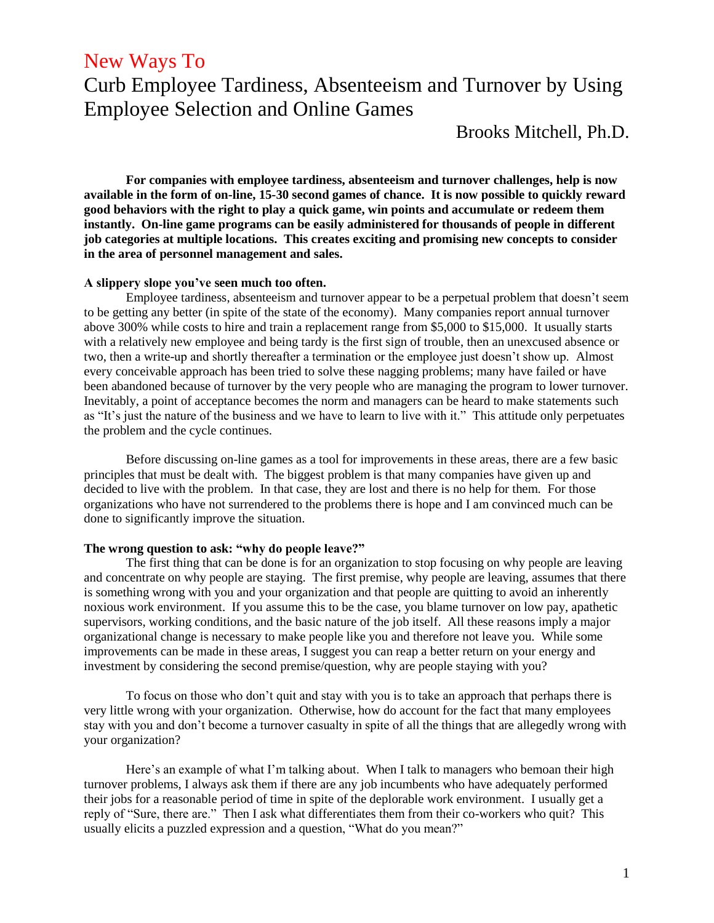## New Ways To

# Curb Employee Tardiness, Absenteeism and Turnover by Using Employee Selection and Online Games

Brooks Mitchell, Ph.D.

**For companies with employee tardiness, absenteeism and turnover challenges, help is now available in the form of on-line, 15-30 second games of chance. It is now possible to quickly reward good behaviors with the right to play a quick game, win points and accumulate or redeem them instantly. On-line game programs can be easily administered for thousands of people in different job categories at multiple locations. This creates exciting and promising new concepts to consider in the area of personnel management and sales.**

### **A slippery slope you've seen much too often.**

Employee tardiness, absenteeism and turnover appear to be a perpetual problem that doesn't seem to be getting any better (in spite of the state of the economy). Many companies report annual turnover above 300% while costs to hire and train a replacement range from \$5,000 to \$15,000. It usually starts with a relatively new employee and being tardy is the first sign of trouble, then an unexcused absence or two, then a write-up and shortly thereafter a termination or the employee just doesn't show up. Almost every conceivable approach has been tried to solve these nagging problems; many have failed or have been abandoned because of turnover by the very people who are managing the program to lower turnover. Inevitably, a point of acceptance becomes the norm and managers can be heard to make statements such as "It's just the nature of the business and we have to learn to live with it." This attitude only perpetuates the problem and the cycle continues.

Before discussing on-line games as a tool for improvements in these areas, there are a few basic principles that must be dealt with. The biggest problem is that many companies have given up and decided to live with the problem. In that case, they are lost and there is no help for them. For those organizations who have not surrendered to the problems there is hope and I am convinced much can be done to significantly improve the situation.

#### **The wrong question to ask: "why do people leave?"**

The first thing that can be done is for an organization to stop focusing on why people are leaving and concentrate on why people are staying. The first premise, why people are leaving, assumes that there is something wrong with you and your organization and that people are quitting to avoid an inherently noxious work environment. If you assume this to be the case, you blame turnover on low pay, apathetic supervisors, working conditions, and the basic nature of the job itself. All these reasons imply a major organizational change is necessary to make people like you and therefore not leave you. While some improvements can be made in these areas, I suggest you can reap a better return on your energy and investment by considering the second premise/question, why are people staying with you?

To focus on those who don't quit and stay with you is to take an approach that perhaps there is very little wrong with your organization. Otherwise, how do account for the fact that many employees stay with you and don't become a turnover casualty in spite of all the things that are allegedly wrong with your organization?

Here's an example of what I'm talking about. When I talk to managers who bemoan their high turnover problems, I always ask them if there are any job incumbents who have adequately performed their jobs for a reasonable period of time in spite of the deplorable work environment. I usually get a reply of "Sure, there are." Then I ask what differentiates them from their co-workers who quit? This usually elicits a puzzled expression and a question, "What do you mean?"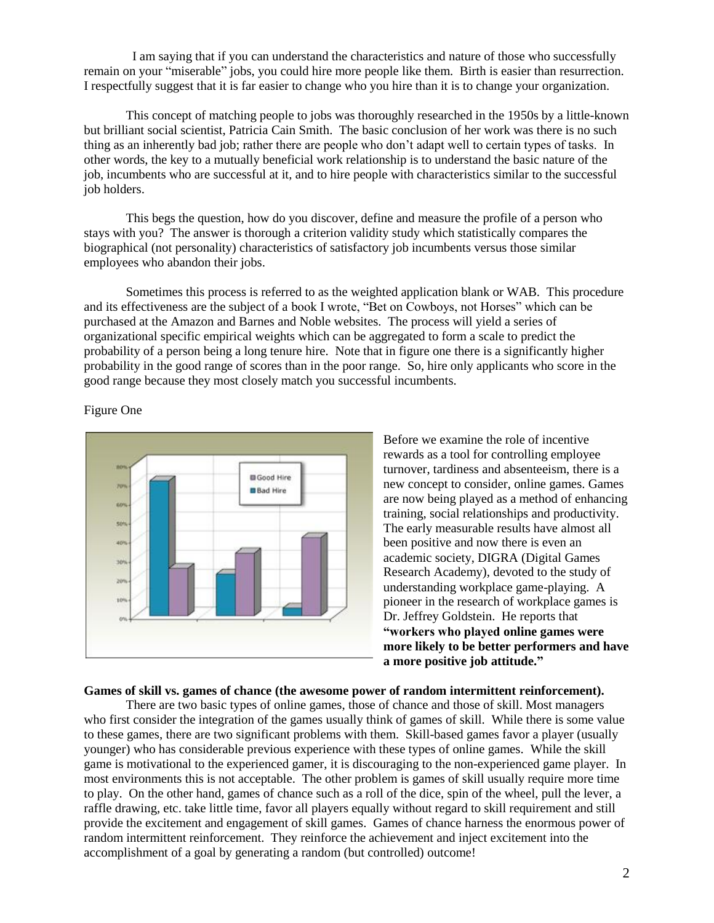I am saying that if you can understand the characteristics and nature of those who successfully remain on your "miserable" jobs, you could hire more people like them. Birth is easier than resurrection. I respectfully suggest that it is far easier to change who you hire than it is to change your organization.

This concept of matching people to jobs was thoroughly researched in the 1950s by a little-known but brilliant social scientist, Patricia Cain Smith. The basic conclusion of her work was there is no such thing as an inherently bad job; rather there are people who don't adapt well to certain types of tasks. In other words, the key to a mutually beneficial work relationship is to understand the basic nature of the job, incumbents who are successful at it, and to hire people with characteristics similar to the successful job holders.

This begs the question, how do you discover, define and measure the profile of a person who stays with you? The answer is thorough a criterion validity study which statistically compares the biographical (not personality) characteristics of satisfactory job incumbents versus those similar employees who abandon their jobs.

Sometimes this process is referred to as the weighted application blank or WAB. This procedure and its effectiveness are the subject of a book I wrote, "Bet on Cowboys, not Horses" which can be purchased at the Amazon and Barnes and Noble websites. The process will yield a series of organizational specific empirical weights which can be aggregated to form a scale to predict the probability of a person being a long tenure hire. Note that in figure one there is a significantly higher probability in the good range of scores than in the poor range. So, hire only applicants who score in the good range because they most closely match you successful incumbents.

Figure One



Before we examine the role of incentive rewards as a tool for controlling employee turnover, tardiness and absenteeism, there is a new concept to consider, online games. Games are now being played as a method of enhancing training, social relationships and productivity. The early measurable results have almost all been positive and now there is even an academic society, DIGRA (Digital Games Research Academy), devoted to the study of understanding workplace game-playing. A pioneer in the research of workplace games is Dr. Jeffrey Goldstein. He reports that **"workers who played online games were more likely to be better performers and have a more positive job attitude."**

#### **Games of skill vs. games of chance (the awesome power of random intermittent reinforcement).**

There are two basic types of online games, those of chance and those of skill. Most managers who first consider the integration of the games usually think of games of skill. While there is some value to these games, there are two significant problems with them. Skill-based games favor a player (usually younger) who has considerable previous experience with these types of online games. While the skill game is motivational to the experienced gamer, it is discouraging to the non-experienced game player. In most environments this is not acceptable. The other problem is games of skill usually require more time to play. On the other hand, games of chance such as a roll of the dice, spin of the wheel, pull the lever, a raffle drawing, etc. take little time, favor all players equally without regard to skill requirement and still provide the excitement and engagement of skill games. Games of chance harness the enormous power of random intermittent reinforcement. They reinforce the achievement and inject excitement into the accomplishment of a goal by generating a random (but controlled) outcome!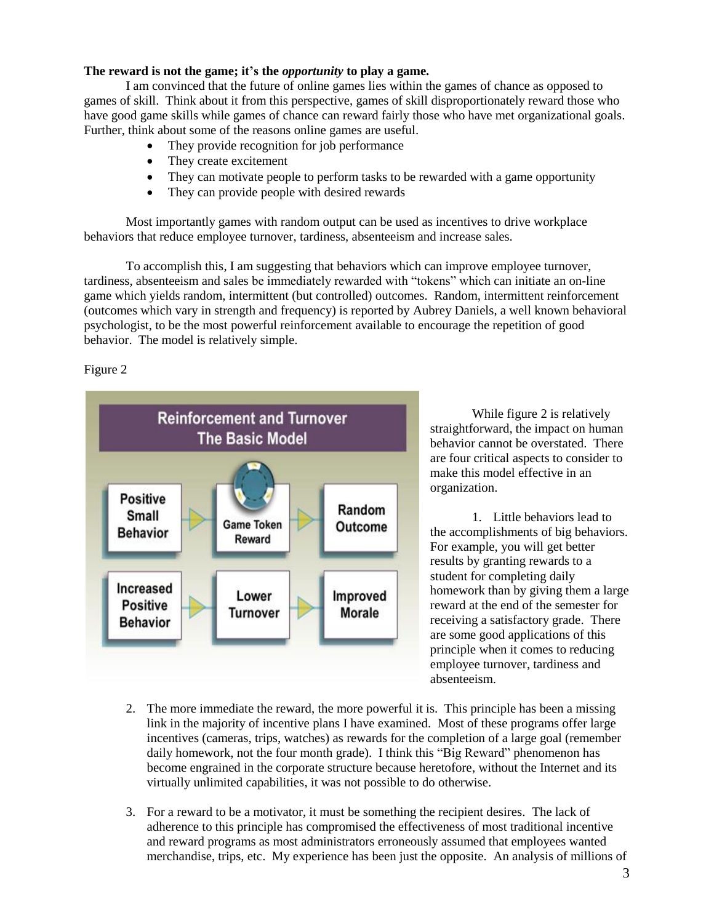## **The reward is not the game; it's the** *opportunity* **to play a game.**

I am convinced that the future of online games lies within the games of chance as opposed to games of skill. Think about it from this perspective, games of skill disproportionately reward those who have good game skills while games of chance can reward fairly those who have met organizational goals. Further, think about some of the reasons online games are useful.

- They provide recognition for job performance
- They create excitement
- They can motivate people to perform tasks to be rewarded with a game opportunity
- They can provide people with desired rewards

Most importantly games with random output can be used as incentives to drive workplace behaviors that reduce employee turnover, tardiness, absenteeism and increase sales.

To accomplish this, I am suggesting that behaviors which can improve employee turnover, tardiness, absenteeism and sales be immediately rewarded with "tokens" which can initiate an on-line game which yields random, intermittent (but controlled) outcomes. Random, intermittent reinforcement (outcomes which vary in strength and frequency) is reported by Aubrey Daniels, a well known behavioral psychologist, to be the most powerful reinforcement available to encourage the repetition of good behavior. The model is relatively simple.

Figure 2



While figure 2 is relatively straightforward, the impact on human behavior cannot be overstated. There are four critical aspects to consider to make this model effective in an organization.

1. Little behaviors lead to the accomplishments of big behaviors. For example, you will get better results by granting rewards to a student for completing daily homework than by giving them a large reward at the end of the semester for receiving a satisfactory grade. There are some good applications of this principle when it comes to reducing employee turnover, tardiness and absenteeism.

- 2. The more immediate the reward, the more powerful it is. This principle has been a missing link in the majority of incentive plans I have examined. Most of these programs offer large incentives (cameras, trips, watches) as rewards for the completion of a large goal (remember daily homework, not the four month grade). I think this "Big Reward" phenomenon has become engrained in the corporate structure because heretofore, without the Internet and its virtually unlimited capabilities, it was not possible to do otherwise.
- 3. For a reward to be a motivator, it must be something the recipient desires. The lack of adherence to this principle has compromised the effectiveness of most traditional incentive and reward programs as most administrators erroneously assumed that employees wanted merchandise, trips, etc. My experience has been just the opposite. An analysis of millions of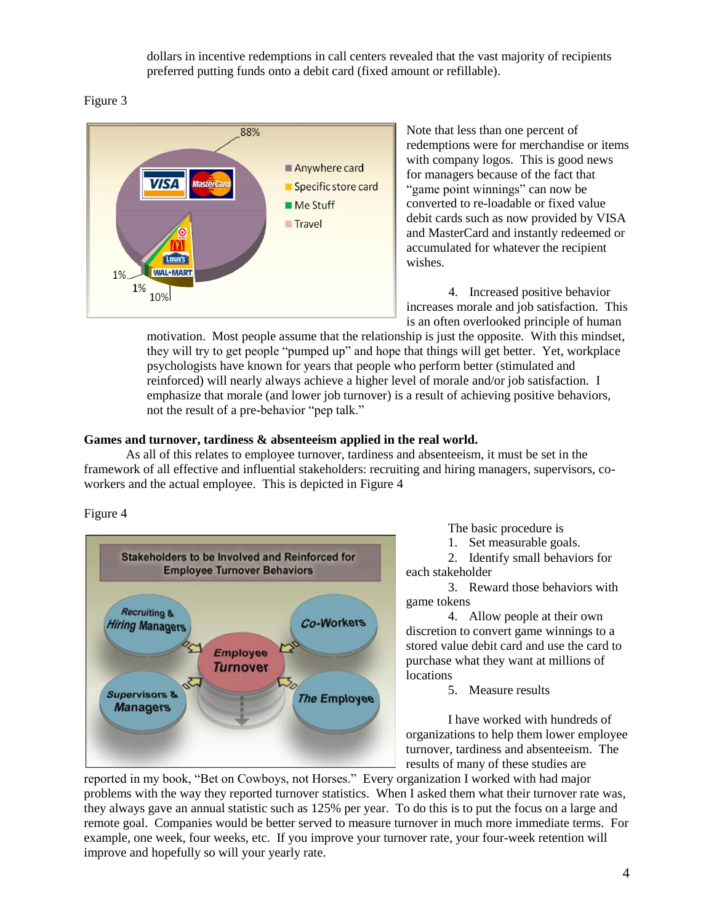dollars in incentive redemptions in call centers revealed that the vast majority of recipients preferred putting funds onto a debit card (fixed amount or refillable).

## Figure 3



Note that less than one percent of redemptions were for merchandise or items with company logos. This is good news for managers because of the fact that "game point winnings" can now be converted to re-loadable or fixed value debit cards such as now provided by VISA and MasterCard and instantly redeemed or accumulated for whatever the recipient wishes.

4. Increased positive behavior increases morale and job satisfaction. This is an often overlooked principle of human

motivation. Most people assume that the relationship is just the opposite. With this mindset, they will try to get people "pumped up" and hope that things will get better. Yet, workplace psychologists have known for years that people who perform better (stimulated and reinforced) will nearly always achieve a higher level of morale and/or job satisfaction. I emphasize that morale (and lower job turnover) is a result of achieving positive behaviors, not the result of a pre-behavior "pep talk."

## **Games and turnover, tardiness & absenteeism applied in the real world.**

As all of this relates to employee turnover, tardiness and absenteeism, it must be set in the framework of all effective and influential stakeholders: recruiting and hiring managers, supervisors, coworkers and the actual employee. This is depicted in Figure 4

Figure 4



The basic procedure is

1. Set measurable goals.

2. Identify small behaviors for each stakeholder

3. Reward those behaviors with game tokens

4. Allow people at their own discretion to convert game winnings to a stored value debit card and use the card to purchase what they want at millions of locations

5. Measure results

I have worked with hundreds of organizations to help them lower employee turnover, tardiness and absenteeism. The results of many of these studies are

reported in my book, "Bet on Cowboys, not Horses." Every organization I worked with had major problems with the way they reported turnover statistics. When I asked them what their turnover rate was, they always gave an annual statistic such as 125% per year. To do this is to put the focus on a large and remote goal. Companies would be better served to measure turnover in much more immediate terms. For example, one week, four weeks, etc. If you improve your turnover rate, your four-week retention will improve and hopefully so will your yearly rate.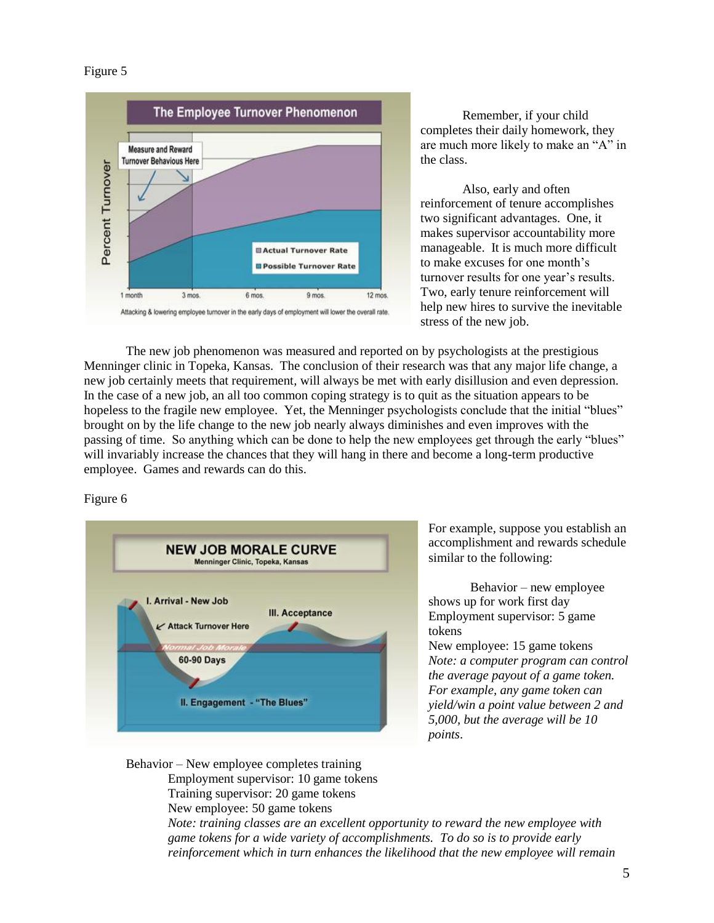## Figure 5



Remember, if your child completes their daily homework, they are much more likely to make an "A" in the class.

Also, early and often reinforcement of tenure accomplishes two significant advantages. One, it makes supervisor accountability more manageable. It is much more difficult to make excuses for one month's turnover results for one year's results. Two, early tenure reinforcement will help new hires to survive the inevitable stress of the new job.

The new job phenomenon was measured and reported on by psychologists at the prestigious Menninger clinic in Topeka, Kansas. The conclusion of their research was that any major life change, a new job certainly meets that requirement, will always be met with early disillusion and even depression. In the case of a new job, an all too common coping strategy is to quit as the situation appears to be hopeless to the fragile new employee. Yet, the Menninger psychologists conclude that the initial "blues" brought on by the life change to the new job nearly always diminishes and even improves with the passing of time. So anything which can be done to help the new employees get through the early "blues" will invariably increase the chances that they will hang in there and become a long-term productive employee. Games and rewards can do this.

## Figure 6



For example, suppose you establish an accomplishment and rewards schedule similar to the following:

Behavior – new employee shows up for work first day Employment supervisor: 5 game tokens

New employee: 15 game tokens *Note: a computer program can control the average payout of a game token. For example, any game token can yield/win a point value between 2 and 5,000, but the average will be 10 points*.

Behavior – New employee completes training Employment supervisor: 10 game tokens Training supervisor: 20 game tokens New employee: 50 game tokens

*Note: training classes are an excellent opportunity to reward the new employee with game tokens for a wide variety of accomplishments. To do so is to provide early reinforcement which in turn enhances the likelihood that the new employee will remain*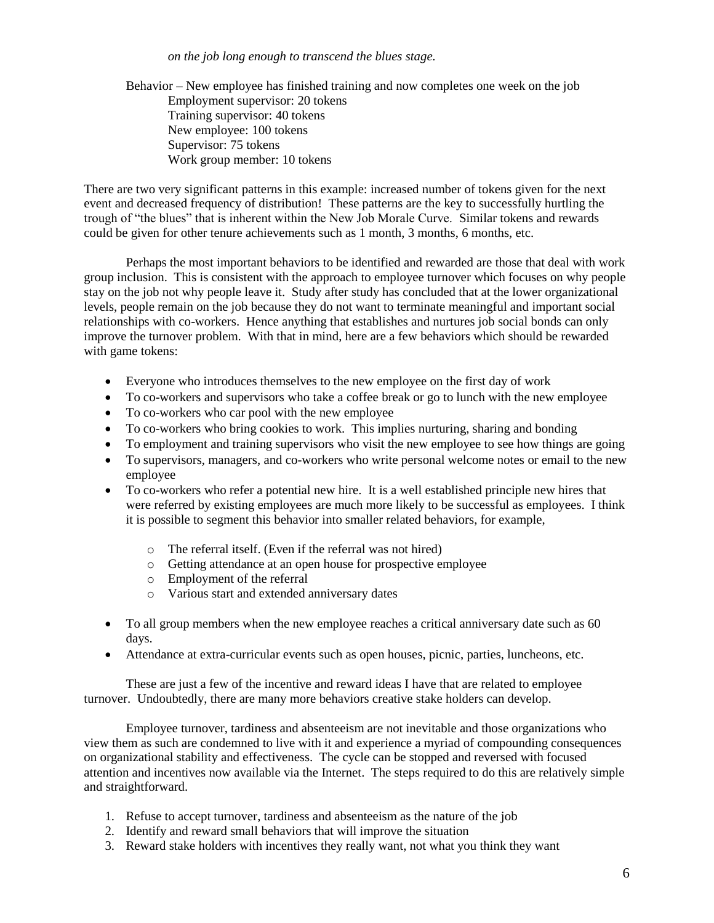*on the job long enough to transcend the blues stage.* 

Behavior – New employee has finished training and now completes one week on the job Employment supervisor: 20 tokens Training supervisor: 40 tokens New employee: 100 tokens Supervisor: 75 tokens Work group member: 10 tokens

There are two very significant patterns in this example: increased number of tokens given for the next event and decreased frequency of distribution! These patterns are the key to successfully hurtling the trough of "the blues" that is inherent within the New Job Morale Curve. Similar tokens and rewards could be given for other tenure achievements such as 1 month, 3 months, 6 months, etc.

Perhaps the most important behaviors to be identified and rewarded are those that deal with work group inclusion. This is consistent with the approach to employee turnover which focuses on why people stay on the job not why people leave it. Study after study has concluded that at the lower organizational levels, people remain on the job because they do not want to terminate meaningful and important social relationships with co-workers. Hence anything that establishes and nurtures job social bonds can only improve the turnover problem. With that in mind, here are a few behaviors which should be rewarded with game tokens:

- Everyone who introduces themselves to the new employee on the first day of work
- To co-workers and supervisors who take a coffee break or go to lunch with the new employee
- To co-workers who car pool with the new employee
- To co-workers who bring cookies to work. This implies nurturing, sharing and bonding
- To employment and training supervisors who visit the new employee to see how things are going
- To supervisors, managers, and co-workers who write personal welcome notes or email to the new employee
- To co-workers who refer a potential new hire. It is a well established principle new hires that were referred by existing employees are much more likely to be successful as employees. I think it is possible to segment this behavior into smaller related behaviors, for example,
	- o The referral itself. (Even if the referral was not hired)
	- o Getting attendance at an open house for prospective employee
	- o Employment of the referral
	- o Various start and extended anniversary dates
- To all group members when the new employee reaches a critical anniversary date such as 60 days.
- Attendance at extra-curricular events such as open houses, picnic, parties, luncheons, etc.

These are just a few of the incentive and reward ideas I have that are related to employee turnover. Undoubtedly, there are many more behaviors creative stake holders can develop.

Employee turnover, tardiness and absenteeism are not inevitable and those organizations who view them as such are condemned to live with it and experience a myriad of compounding consequences on organizational stability and effectiveness. The cycle can be stopped and reversed with focused attention and incentives now available via the Internet. The steps required to do this are relatively simple and straightforward.

- 1. Refuse to accept turnover, tardiness and absenteeism as the nature of the job
- 2. Identify and reward small behaviors that will improve the situation
- 3. Reward stake holders with incentives they really want, not what you think they want